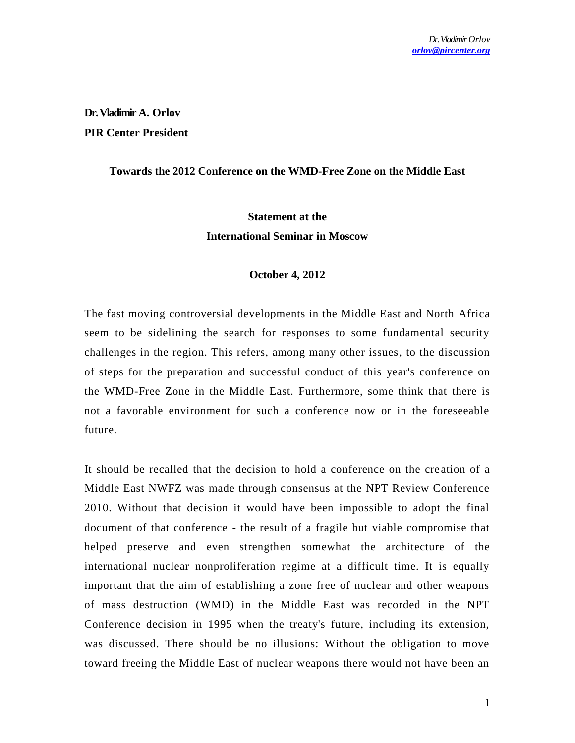**Dr. Vladimir A. Orlov PIR Center President**

### **Towards the 2012 Conference on the WMD-Free Zone on the Middle East**

# **Statement at the International Seminar in Moscow**

#### **October 4, 2012**

The fast moving controversial developments in the Middle East and North Africa seem to be sidelining the search for responses to some fundamental security challenges in the region. This refers, among many other issues, to the discussion of steps for the preparation and successful conduct of this year's conference on the WMD-Free Zone in the Middle East. Furthermore, some think that there is not a favorable environment for such a conference now or in the foreseeable future.

It should be recalled that the decision to hold a conference on the cre ation of a Middle East NWFZ was made through consensus at the NPT Review Conference 2010. Without that decision it would have been impossible to adopt the final document of that conference - the result of a fragile but viable compromise that helped preserve and even strengthen somewhat the architecture of the international nuclear nonproliferation regime at a difficult time. It is equally important that the aim of establishing a zone free of nuclear and other weapons of mass destruction (WMD) in the Middle East was recorded in the NPT Conference decision in 1995 when the treaty's future, including its extension, was discussed. There should be no illusions: Without the obligation to move toward freeing the Middle East of nuclear weapons there would not have been an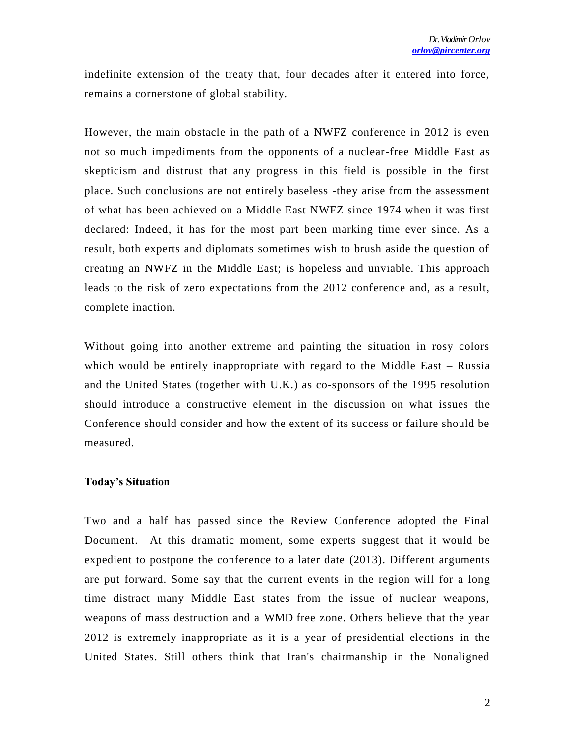indefinite extension of the treaty that, four decades after it entered into force, remains a cornerstone of global stability.

However, the main obstacle in the path of a NWFZ conference in 2012 is even not so much impediments from the opponents of a nuclear-free Middle East as skepticism and distrust that any progress in this field is possible in the first place. Such conclusions are not entirely baseless -they arise from the assessment of what has been achieved on a Middle East NWFZ since 1974 when it was first declared: Indeed, it has for the most part been marking time ever since. As a result, both experts and diplomats sometimes wish to brush aside the question of creating an NWFZ in the Middle East; is hopeless and unviable. This approach leads to the risk of zero expectations from the 2012 conference and, as a result, complete inaction.

Without going into another extreme and painting the situation in rosy colors which would be entirely inappropriate with regard to the Middle East – Russia and the United States (together with U.K.) as co-sponsors of the 1995 resolution should introduce a constructive element in the discussion on what issues the Conference should consider and how the extent of its success or failure should be measured.

## **Today's Situation**

Two and a half has passed since the Review Conference adopted the Final Document. At this dramatic moment, some experts suggest that it would be expedient to postpone the conference to a later date (2013). Different arguments are put forward. Some say that the current events in the region will for a long time distract many Middle East states from the issue of nuclear weapons, weapons of mass destruction and a WMD free zone. Others believe that the year 2012 is extremely inappropriate as it is a year of presidential elections in the United States. Still others think that Iran's chairmanship in the Nonaligned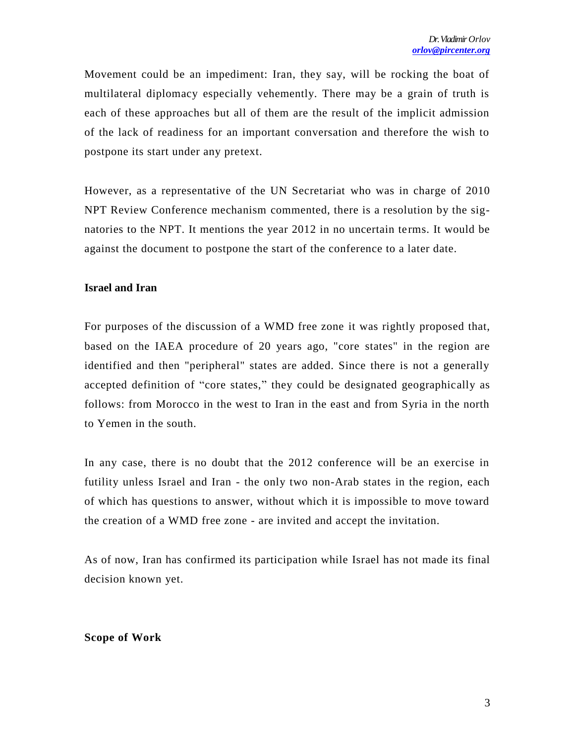Movement could be an impediment: Iran, they say, will be rocking the boat of multilateral diplomacy especially vehemently. There may be a grain of truth is each of these approaches but all of them are the result of the implicit admission of the lack of readiness for an important conversation and therefore the wish to postpone its start under any pretext.

However, as a representative of the UN Secretariat who was in charge of 2010 NPT Review Conference mechanism commented, there is a resolution by the signatories to the NPT. It mentions the year 2012 in no uncertain terms. It would be against the document to postpone the start of the conference to a later date.

## **Israel and Iran**

For purposes of the discussion of a WMD free zone it was rightly proposed that, based on the IAEA procedure of 20 years ago, "core states" in the region are identified and then "peripheral" states are added. Since there is not a generally accepted definition of "core states," they could be designated geographically as follows: from Morocco in the west to Iran in the east and from Syria in the north to Yemen in the south.

In any case, there is no doubt that the 2012 conference will be an exercise in futility unless Israel and Iran - the only two non-Arab states in the region, each of which has questions to answer, without which it is impossible to move toward the creation of a WMD free zone - are invited and accept the invitation.

As of now, Iran has confirmed its participation while Israel has not made its final decision known yet.

#### **Scope of Work**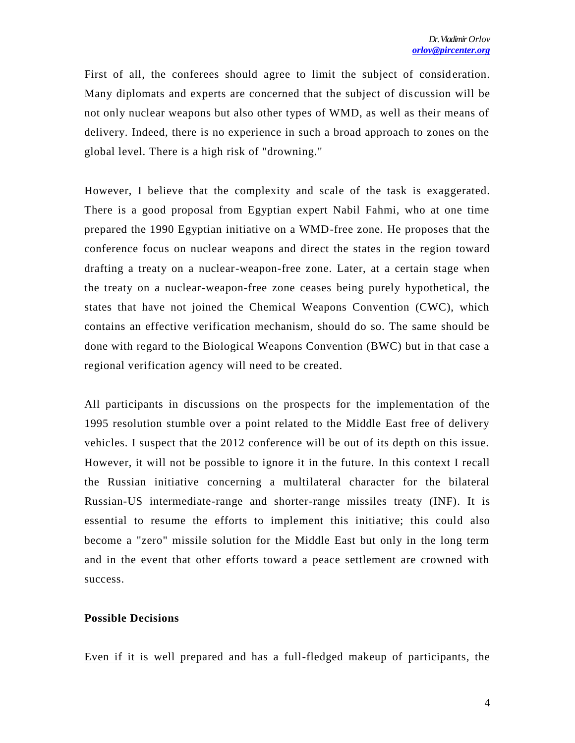First of all, the conferees should agree to limit the subject of consideration. Many diplomats and experts are concerned that the subject of dis cussion will be not only nuclear weapons but also other types of WMD, as well as their means of delivery. Indeed, there is no experience in such a broad approach to zones on the global level. There is a high risk of "drowning."

However, I believe that the complexity and scale of the task is exaggerated. There is a good proposal from Egyptian expert Nabil Fahmi, who at one time prepared the 1990 Egyptian initiative on a WMD-free zone. He proposes that the conference focus on nuclear weapons and direct the states in the region toward drafting a treaty on a nuclear-weapon-free zone. Later, at a certain stage when the treaty on a nuclear-weapon-free zone ceases being purely hypothetical, the states that have not joined the Chemical Weapons Convention (CWC), which contains an effective verification mechanism, should do so. The same should be done with regard to the Biological Weapons Convention (BWC) but in that case a regional verification agency will need to be created.

All participants in discussions on the prospects for the implementation of the 1995 resolution stumble over a point related to the Middle East free of delivery vehicles. I suspect that the 2012 conference will be out of its depth on this issue. However, it will not be possible to ignore it in the future. In this context I recall the Russian initiative concerning a multilateral character for the bilateral Russian-US intermediate-range and shorter-range missiles treaty (INF). It is essential to resume the efforts to implement this initiative; this could also become a "zero" missile solution for the Middle East but only in the long term and in the event that other efforts toward a peace settlement are crowned with success.

## **Possible Decisions**

Even if it is well prepared and has a full-fledged makeup of participants, the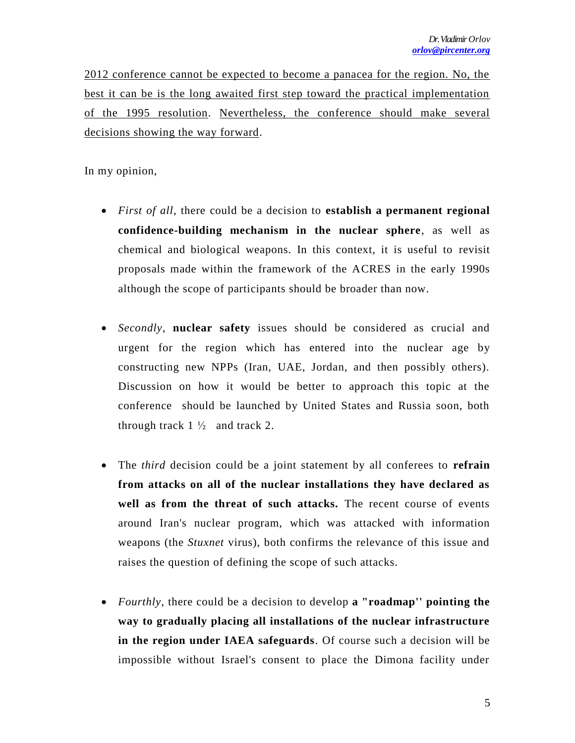2012 conference cannot be expected to become a panacea for the region. No, the best it can be is the long awaited first step toward the practical implementation of the 1995 resolution. Nevertheless, the conference should make several decisions showing the way forward.

In my opinion,

- *First of all*, there could be a decision to **establish a permanent regional confidence-building mechanism in the nuclear sphere**, as well as chemical and biological weapons. In this context, it is useful to revisit proposals made within the framework of the ACRES in the early 1990s although the scope of participants should be broader than now.
- *Secondly*, **nuclear safety** issues should be considered as crucial and urgent for the region which has entered into the nuclear age by constructing new NPPs (Iran, UAE, Jordan, and then possibly others). Discussion on how it would be better to approach this topic at the conference should be launched by United States and Russia soon, both through track  $1\frac{1}{2}$  and track 2.
- The *third* decision could be a joint statement by all conferees to **refrain from attacks on all of the nuclear installations they have declared as well as from the threat of such attacks.** The recent course of events around Iran's nuclear program, which was attacked with information weapons (the *Stuxnet* virus), both confirms the relevance of this issue and raises the question of defining the scope of such attacks.
- *Fourthly*, there could be a decision to develop **a "roadmap'' pointing the way to gradually placing all installations of the nuclear infrastructure in the region under IAEA safeguards**. Of course such a decision will be impossible without Israel's consent to place the Dimona facility under